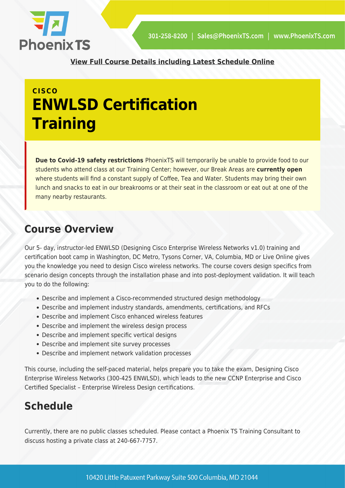

**[View Full Course Details including Latest Schedule Online](https://phoenixts.com/training-courses/designing-cisco-enterprise-wireless-networks-enwlsd-certification-training/)**

# **CISCO ENWLSD Certification Training**

**Due to Covid-19 safety restrictions** PhoenixTS will temporarily be unable to provide food to our students who attend class at our Training Center; however, our Break Areas are **currently open** where students will find a constant supply of Coffee, Tea and Water. Students may bring their own lunch and snacks to eat in our breakrooms or at their seat in the classroom or eat out at one of the many nearby restaurants.

# **Course Overview**

Our 5- day, instructor-led ENWLSD (Designing Cisco Enterprise Wireless Networks v1.0) training and certification boot camp in Washington, DC Metro, Tysons Corner, VA, Columbia, MD or Live Online gives you the knowledge you need to design Cisco wireless networks. The course covers design specifics from scenario design concepts through the installation phase and into post-deployment validation. It will teach you to do the following:

- Describe and implement a Cisco-recommended structured design methodology
- Describe and implement industry standards, amendments, certifications, and RFCs
- Describe and implement Cisco enhanced wireless features
- Describe and implement the wireless design process
- Describe and implement specific vertical designs
- Describe and implement site survey processes
- Describe and implement network validation processes

This course, including the self-paced material, helps prepare you to take the exam, Designing Cisco Enterprise Wireless Networks (300-425 ENWLSD), which leads to the new CCNP Enterprise and Cisco Certified Specialist – Enterprise Wireless Design certifications.

# **Schedule**

Currently, there are no public classes scheduled. Please contact a Phoenix TS Training Consultant to discuss hosting a private class at 240-667-7757.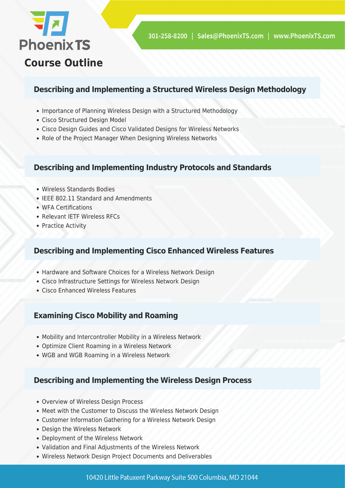

# **Describing and Implementing a Structured Wireless Design Methodology**

- Importance of Planning Wireless Design with a Structured Methodology
- Cisco Structured Design Model
- Cisco Design Guides and Cisco Validated Designs for Wireless Networks
- Role of the Project Manager When Designing Wireless Networks

#### **Describing and Implementing Industry Protocols and Standards**

- Wireless Standards Bodies
- IEEE 802.11 Standard and Amendments
- WFA Certifications
- Relevant IETF Wireless RFCs
- Practice Activity

# **Describing and Implementing Cisco Enhanced Wireless Features**

- Hardware and Software Choices for a Wireless Network Design
- Cisco Infrastructure Settings for Wireless Network Design
- Cisco Enhanced Wireless Features

# **Examining Cisco Mobility and Roaming**

- Mobility and Intercontroller Mobility in a Wireless Network
- Optimize Client Roaming in a Wireless Network
- WGB and WGB Roaming in a Wireless Network

# **Describing and Implementing the Wireless Design Process**

- Overview of Wireless Design Process
- Meet with the Customer to Discuss the Wireless Network Design
- Customer Information Gathering for a Wireless Network Design
- Design the Wireless Network
- Deployment of the Wireless Network
- Validation and Final Adjustments of the Wireless Network
- Wireless Network Design Project Documents and Deliverables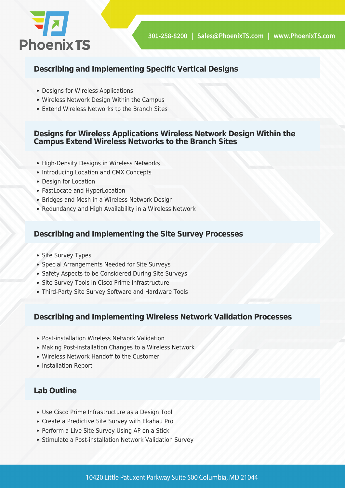

# **Describing and Implementing Specific Vertical Designs**

- Designs for Wireless Applications
- Wireless Network Design Within the Campus
- Extend Wireless Networks to the Branch Sites

#### **Designs for Wireless Applications Wireless Network Design Within the Campus Extend Wireless Networks to the Branch Sites**

- High-Density Designs in Wireless Networks
- Introducing Location and CMX Concepts
- Design for Location
- FastLocate and HyperLocation
- Bridges and Mesh in a Wireless Network Design
- Redundancy and High Availability in a Wireless Network

#### **Describing and Implementing the Site Survey Processes**

- Site Survey Types
- Special Arrangements Needed for Site Surveys
- Safety Aspects to be Considered During Site Surveys
- Site Survey Tools in Cisco Prime Infrastructure
- Third-Party Site Survey Software and Hardware Tools

#### **Describing and Implementing Wireless Network Validation Processes**

- Post-installation Wireless Network Validation
- Making Post-installation Changes to a Wireless Network
- Wireless Network Handoff to the Customer
- Installation Report

# **Lab Outline**

- Use Cisco Prime Infrastructure as a Design Tool
- Create a Predictive Site Survey with Ekahau Pro
- Perform a Live Site Survey Using AP on a Stick
- Stimulate a Post-installation Network Validation Survey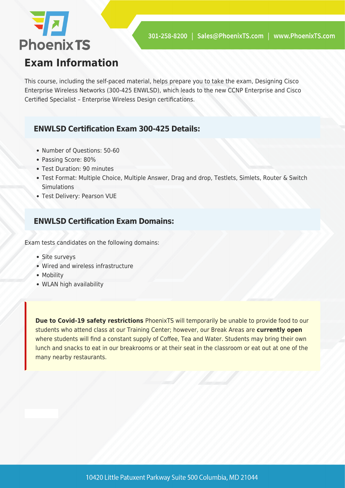

# **Exam Information**

This course, including the self-paced material, helps prepare you to take the exam, Designing Cisco Enterprise Wireless Networks (300-425 ENWLSD), which leads to the new CCNP Enterprise and Cisco Certified Specialist – Enterprise Wireless Design certifications.

### **ENWLSD Certification Exam 300-425 Details:**

- Number of Questions: 50-60
- Passing Score: 80%
- Test Duration: 90 minutes
- Test Format: Multiple Choice, Multiple Answer, Drag and drop, Testlets, Simlets, Router & Switch **Simulations**
- Test Delivery: Pearson VUE

### **ENWLSD Certification Exam Domains:**

Exam tests candidates on the following domains:

- Site surveys
- Wired and wireless infrastructure
- Mobility
- WLAN high availability

**Due to Covid-19 safety restrictions** PhoenixTS will temporarily be unable to provide food to our students who attend class at our Training Center; however, our Break Areas are **currently open** where students will find a constant supply of Coffee, Tea and Water. Students may bring their own lunch and snacks to eat in our breakrooms or at their seat in the classroom or eat out at one of the many nearby restaurants.